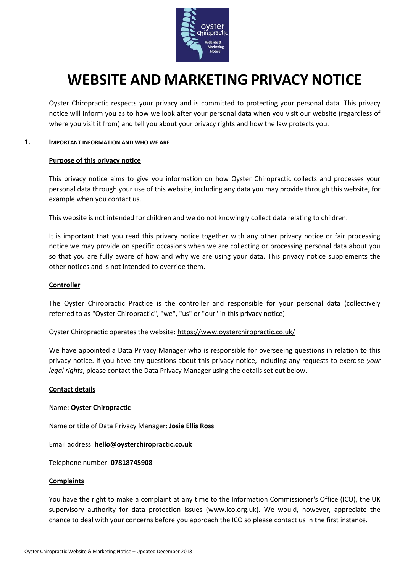

# **WEBSITE AND MARKETING PRIVACY NOTICE**

Oyster Chiropractic respects your privacy and is committed to protecting your personal data. This privacy notice will inform you as to how we look after your personal data when you visit our website (regardless of where you visit it from) and tell you about your privacy rights and how the law protects you.

## **1. IMPORTANT INFORMATION AND WHO WE ARE**

#### **Purpose of this privacy notice**

This privacy notice aims to give you information on how Oyster Chiropractic collects and processes your personal data through your use of this website, including any data you may provide through this website, for example when you contact us.

This website is not intended for children and we do not knowingly collect data relating to children.

It is important that you read this privacy notice together with any other privacy notice or fair processing notice we may provide on specific occasions when we are collecting or processing personal data about you so that you are fully aware of how and why we are using your data. This privacy notice supplements the other notices and is not intended to override them.

## **Controller**

The Oyster Chiropractic Practice is the controller and responsible for your personal data (collectively referred to as "Oyster Chiropractic", "we", "us" or "our" in this privacy notice).

Oyster Chiropractic operates the website:<https://www.oysterchiropractic.co.uk/>

We have appointed a Data Privacy Manager who is responsible for overseeing questions in relation to this privacy notice. If you have any questions about this privacy notice, including any requests to exercise *your legal rights*, please contact the Data Privacy Manager using the details set out below.

#### **Contact details**

#### Name: **Oyster Chiropractic**

Name or title of Data Privacy Manager: **Josie Ellis Ross**

Email address: **hello@oysterchiropractic.co.uk**

Telephone number: **07818745908**

#### **Complaints**

You have the right to make a complaint at any time to the Information Commissioner's Office (ICO), the UK supervisory authority for data protection issues (www.ico.org.uk). We would, however, appreciate the chance to deal with your concerns before you approach the ICO so please contact us in the first instance.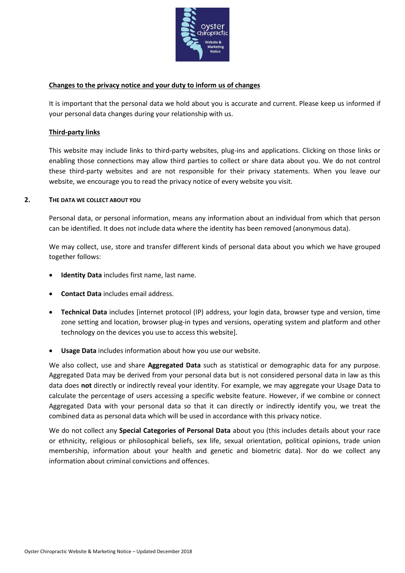

# **Changes to the privacy notice and your duty to inform us of changes**

It is important that the personal data we hold about you is accurate and current. Please keep us informed if your personal data changes during your relationship with us.

## **Third-party links**

This website may include links to third-party websites, plug-ins and applications. Clicking on those links or enabling those connections may allow third parties to collect or share data about you. We do not control these third-party websites and are not responsible for their privacy statements. When you leave our website, we encourage you to read the privacy notice of every website you visit.

## **2. THE DATA WE COLLECT ABOUT YOU**

Personal data, or personal information, means any information about an individual from which that person can be identified. It does not include data where the identity has been removed (anonymous data).

We may collect, use, store and transfer different kinds of personal data about you which we have grouped together follows:

- **Identity Data** includes first name, last name.
- **Contact Data** includes email address.
- **Technical Data** includes [internet protocol (IP) address, your login data, browser type and version, time zone setting and location, browser plug-in types and versions, operating system and platform and other technology on the devices you use to access this website].
- **Usage Data** includes information about how you use our website.

We also collect, use and share **Aggregated Data** such as statistical or demographic data for any purpose. Aggregated Data may be derived from your personal data but is not considered personal data in law as this data does **not** directly or indirectly reveal your identity. For example, we may aggregate your Usage Data to calculate the percentage of users accessing a specific website feature. However, if we combine or connect Aggregated Data with your personal data so that it can directly or indirectly identify you, we treat the combined data as personal data which will be used in accordance with this privacy notice.

We do not collect any **Special Categories of Personal Data** about you (this includes details about your race or ethnicity, religious or philosophical beliefs, sex life, sexual orientation, political opinions, trade union membership, information about your health and genetic and biometric data). Nor do we collect any information about criminal convictions and offences.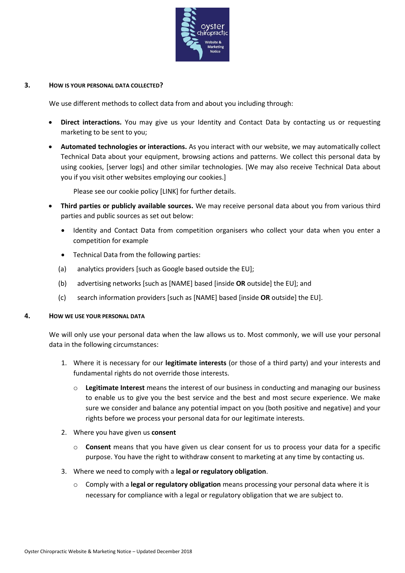

## **3. HOW IS YOUR PERSONAL DATA COLLECTED?**

We use different methods to collect data from and about you including through:

- **Direct interactions.** You may give us your Identity and Contact Data by contacting us or requesting marketing to be sent to you;
- **Automated technologies or interactions.** As you interact with our website, we may automatically collect Technical Data about your equipment, browsing actions and patterns. We collect this personal data by using cookies, [server logs] and other similar technologies. [We may also receive Technical Data about you if you visit other websites employing our cookies.]

Please see our cookie policy [LINK] for further details.

- **Third parties or publicly available sources.** We may receive personal data about you from various third parties and public sources as set out below:
	- Identity and Contact Data from competition organisers who collect your data when you enter a competition for example
	- Technical Data from the following parties:
	- (a) analytics providers [such as Google based outside the EU];
	- (b) advertising networks [such as [NAME] based [inside **OR** outside] the EU]; and
	- (c) search information providers [such as [NAME] based [inside **OR** outside] the EU].

## **4. HOW WE USE YOUR PERSONAL DATA**

We will only use your personal data when the law allows us to. Most commonly, we will use your personal data in the following circumstances:

- 1. Where it is necessary for our **legitimate interests** (or those of a third party) and your interests and fundamental rights do not override those interests.
	- o **Legitimate Interest** means the interest of our business in conducting and managing our business to enable us to give you the best service and the best and most secure experience. We make sure we consider and balance any potential impact on you (both positive and negative) and your rights before we process your personal data for our legitimate interests.
- 2. Where you have given us **consent**
	- o **Consent** means that you have given us clear consent for us to process your data for a specific purpose. You have the right to withdraw consent to marketing at any time by contacting us.
- 3. Where we need to comply with a **legal or regulatory obligation**.
	- o Comply with a **legal or regulatory obligation** means processing your personal data where it is necessary for compliance with a legal or regulatory obligation that we are subject to.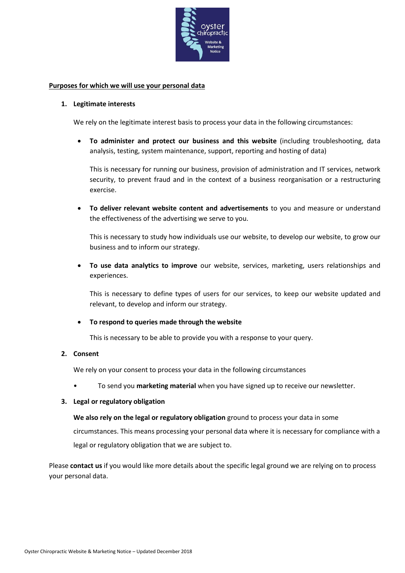

## **Purposes for which we will use your personal data**

#### **1. Legitimate interests**

We rely on the legitimate interest basis to process your data in the following circumstances:

• **To administer and protect our business and this website** (including troubleshooting, data analysis, testing, system maintenance, support, reporting and hosting of data)

This is necessary for running our business, provision of administration and IT services, network security, to prevent fraud and in the context of a business reorganisation or a restructuring exercise.

• **To deliver relevant website content and advertisements** to you and measure or understand the effectiveness of the advertising we serve to you.

This is necessary to study how individuals use our website, to develop our website, to grow our business and to inform our strategy.

• **To use data analytics to improve** our website, services, marketing, users relationships and experiences.

This is necessary to define types of users for our services, to keep our website updated and relevant, to develop and inform our strategy.

## • **To respond to queries made through the website**

This is necessary to be able to provide you with a response to your query.

#### **2. Consent**

We rely on your consent to process your data in the following circumstances

• To send you **marketing material** when you have signed up to receive our newsletter.

## **3. Legal or regulatory obligation**

#### **We also rely on the legal or regulatory obligation** ground to process your data in some

circumstances. This means processing your personal data where it is necessary for compliance with a legal or regulatory obligation that we are subject to.

Please **contact us** if you would like more details about the specific legal ground we are relying on to process your personal data.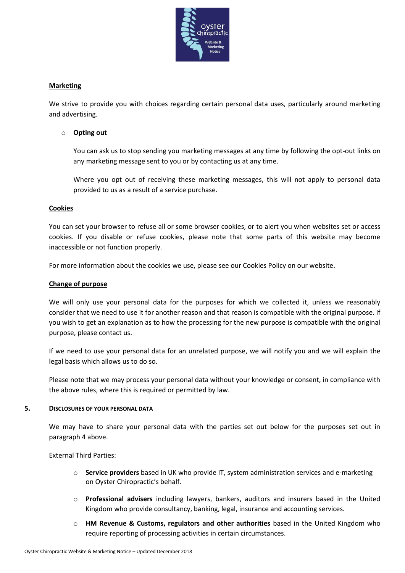

# **Marketing**

We strive to provide you with choices regarding certain personal data uses, particularly around marketing and advertising.

## o **Opting out**

You can ask us to stop sending you marketing messages at any time by following the opt-out links on any marketing message sent to you or by contacting us at any time.

Where you opt out of receiving these marketing messages, this will not apply to personal data provided to us as a result of a service purchase.

## **Cookies**

You can set your browser to refuse all or some browser cookies, or to alert you when websites set or access cookies. If you disable or refuse cookies, please note that some parts of this website may become inaccessible or not function properly.

For more information about the cookies we use, please see our Cookies Policy on our website.

## **Change of purpose**

We will only use your personal data for the purposes for which we collected it, unless we reasonably consider that we need to use it for another reason and that reason is compatible with the original purpose. If you wish to get an explanation as to how the processing for the new purpose is compatible with the original purpose, please contact us.

If we need to use your personal data for an unrelated purpose, we will notify you and we will explain the legal basis which allows us to do so.

Please note that we may process your personal data without your knowledge or consent, in compliance with the above rules, where this is required or permitted by law.

## **5. DISCLOSURES OF YOUR PERSONAL DATA**

We may have to share your personal data with the parties set out below for the purposes set out in paragraph 4 above.

External Third Parties:

- o **Service providers** based in UK who provide IT, system administration services and e-marketing on Oyster Chiropractic's behalf.
- o **Professional advisers** including lawyers, bankers, auditors and insurers based in the United Kingdom who provide consultancy, banking, legal, insurance and accounting services.
- o **HM Revenue & Customs, regulators and other authorities** based in the United Kingdom who require reporting of processing activities in certain circumstances.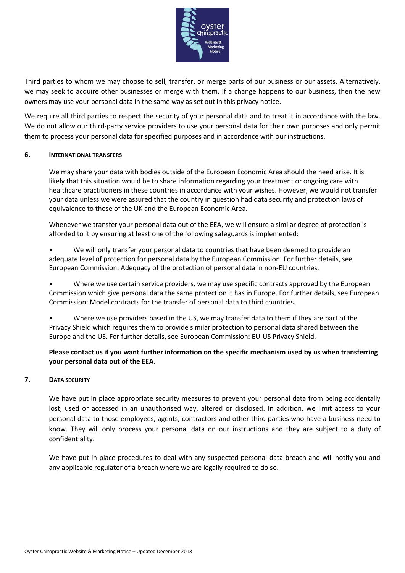

Third parties to whom we may choose to sell, transfer, or merge parts of our business or our assets. Alternatively, we may seek to acquire other businesses or merge with them. If a change happens to our business, then the new owners may use your personal data in the same way as set out in this privacy notice.

We require all third parties to respect the security of your personal data and to treat it in accordance with the law. We do not allow our third-party service providers to use your personal data for their own purposes and only permit them to process your personal data for specified purposes and in accordance with our instructions.

## **6. INTERNATIONAL TRANSFERS**

We may share your data with bodies outside of the European Economic Area should the need arise. It is likely that this situation would be to share information regarding your treatment or ongoing care with healthcare practitioners in these countries in accordance with your wishes. However, we would not transfer your data unless we were assured that the country in question had data security and protection laws of equivalence to those of the UK and the European Economic Area.

Whenever we transfer your personal data out of the EEA, we will ensure a similar degree of protection is afforded to it by ensuring at least one of the following safeguards is implemented:

• We will only transfer your personal data to countries that have been deemed to provide an adequate level of protection for personal data by the European Commission. For further details, see European Commission: Adequacy of the protection of personal data in non-EU countries.

• Where we use certain service providers, we may use specific contracts approved by the European Commission which give personal data the same protection it has in Europe. For further details, see European Commission: Model contracts for the transfer of personal data to third countries.

Where we use providers based in the US, we may transfer data to them if they are part of the Privacy Shield which requires them to provide similar protection to personal data shared between the Europe and the US. For further details, see European Commission: EU-US Privacy Shield.

# **Please contact us if you want further information on the specific mechanism used by us when transferring your personal data out of the EEA.**

# **7. DATA SECURITY**

We have put in place appropriate security measures to prevent your personal data from being accidentally lost, used or accessed in an unauthorised way, altered or disclosed. In addition, we limit access to your personal data to those employees, agents, contractors and other third parties who have a business need to know. They will only process your personal data on our instructions and they are subject to a duty of confidentiality.

We have put in place procedures to deal with any suspected personal data breach and will notify you and any applicable regulator of a breach where we are legally required to do so.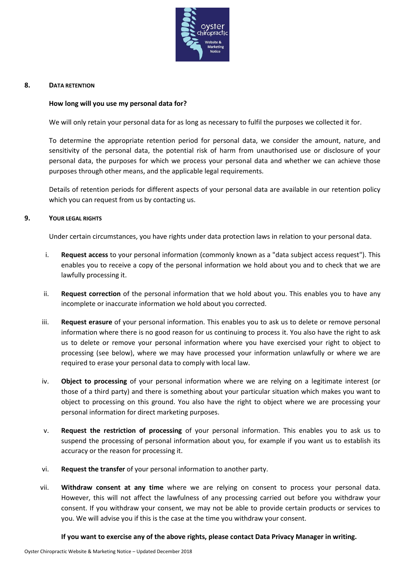

## **8. DATA RETENTION**

## **How long will you use my personal data for?**

We will only retain your personal data for as long as necessary to fulfil the purposes we collected it for.

To determine the appropriate retention period for personal data, we consider the amount, nature, and sensitivity of the personal data, the potential risk of harm from unauthorised use or disclosure of your personal data, the purposes for which we process your personal data and whether we can achieve those purposes through other means, and the applicable legal requirements.

Details of retention periods for different aspects of your personal data are available in our retention policy which you can request from us by contacting us.

## **9. YOUR LEGAL RIGHTS**

Under certain circumstances, you have rights under data protection laws in relation to your personal data.

- i. **Request access** to your personal information (commonly known as a "data subject access request"). This enables you to receive a copy of the personal information we hold about you and to check that we are lawfully processing it.
- ii. **Request correction** of the personal information that we hold about you. This enables you to have any incomplete or inaccurate information we hold about you corrected.
- iii. **Request erasure** of your personal information. This enables you to ask us to delete or remove personal information where there is no good reason for us continuing to process it. You also have the right to ask us to delete or remove your personal information where you have exercised your right to object to processing (see below), where we may have processed your information unlawfully or where we are required to erase your personal data to comply with local law.
- iv. **Object to processing** of your personal information where we are relying on a legitimate interest (or those of a third party) and there is something about your particular situation which makes you want to object to processing on this ground. You also have the right to object where we are processing your personal information for direct marketing purposes.
- v. **Request the restriction of processing** of your personal information. This enables you to ask us to suspend the processing of personal information about you, for example if you want us to establish its accuracy or the reason for processing it.
- vi. **Request the transfer** of your personal information to another party.
- vii. **Withdraw consent at any time** where we are relying on consent to process your personal data. However, this will not affect the lawfulness of any processing carried out before you withdraw your consent. If you withdraw your consent, we may not be able to provide certain products or services to you. We will advise you if this is the case at the time you withdraw your consent.

## **If you want to exercise any of the above rights, please contact Data Privacy Manager in writing.**